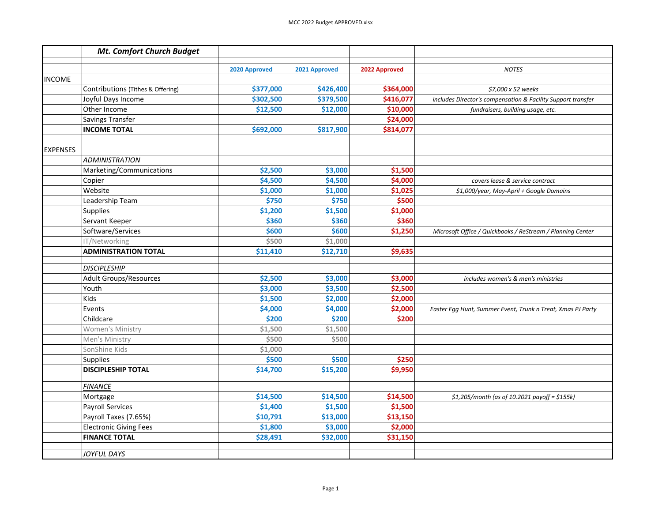|                 | Mt. Comfort Church Budget         |               |               |               |                                                              |
|-----------------|-----------------------------------|---------------|---------------|---------------|--------------------------------------------------------------|
|                 |                                   | 2020 Approved | 2021 Approved | 2022 Approved | <b>NOTES</b>                                                 |
| <b>INCOME</b>   |                                   |               |               |               |                                                              |
|                 | Contributions (Tithes & Offering) | \$377,000     | \$426,400     | \$364,000     | \$7,000 x 52 weeks                                           |
|                 | Joyful Days Income                | \$302,500     | \$379,500     | \$416,077     | includes Director's compensation & Facility Support transfer |
|                 | Other Income                      | \$12,500      | \$12,000      | \$10,000      | fundraisers, building usage, etc.                            |
|                 | Savings Transfer                  |               |               | \$24,000      |                                                              |
|                 | <b>INCOME TOTAL</b>               | \$692,000     | \$817,900     | \$814,077     |                                                              |
|                 |                                   |               |               |               |                                                              |
| <b>EXPENSES</b> |                                   |               |               |               |                                                              |
|                 | ADMINISTRATION                    |               |               |               |                                                              |
|                 | Marketing/Communications          | \$2,500       | \$3,000       | \$1,500       |                                                              |
|                 | Copier                            | \$4,500       | \$4,500       | \$4,000       | covers lease & service contract                              |
|                 | Website                           | \$1,000       | \$1,000       | \$1,025       | \$1,000/year, May-April + Google Domains                     |
|                 | Leadership Team                   | \$750         | \$750         | \$500         |                                                              |
|                 | Supplies                          | \$1,200       | \$1,500       | \$1,000       |                                                              |
|                 | Servant Keeper                    | \$360         | \$360         | \$360         |                                                              |
|                 | Software/Services                 | \$600         | \$600         | \$1,250       | Microsoft Office / Quickbooks / ReStream / Planning Center   |
|                 | IT/Networking                     | \$500         | \$1,000       |               |                                                              |
|                 | <b>ADMINISTRATION TOTAL</b>       | \$11,410      | \$12,710      | \$9,635       |                                                              |
|                 |                                   |               |               |               |                                                              |
|                 | <b>DISCIPLESHIP</b>               |               |               |               |                                                              |
|                 | Adult Groups/Resources            | \$2,500       | \$3,000       | \$3,000       | includes women's & men's ministries                          |
|                 | Youth                             | \$3,000       | \$3,500       | \$2,500       |                                                              |
|                 | Kids                              | \$1,500       | \$2,000       | \$2,000       |                                                              |
|                 | Events                            | \$4,000       | \$4,000       | \$2,000       | Easter Egg Hunt, Summer Event, Trunk n Treat, Xmas PJ Party  |
|                 | Childcare                         | \$200         | \$200         | \$200         |                                                              |
|                 | Women's Ministry                  | \$1,500       | \$1,500       |               |                                                              |
|                 | Men's Ministry                    | \$500         | \$500         |               |                                                              |
|                 | SonShine Kids                     | \$1,000       |               |               |                                                              |
|                 | Supplies                          | \$500         | \$500         | \$250         |                                                              |
|                 | <b>DISCIPLESHIP TOTAL</b>         | \$14,700      | \$15,200      | \$9,950       |                                                              |
|                 | <b>FINANCE</b>                    |               |               |               |                                                              |
|                 | Mortgage                          | \$14,500      | \$14,500      | \$14,500      | $$1,205/m$ onth (as of 10.2021 payoff = \$155k)              |
|                 | <b>Payroll Services</b>           | \$1,400       | \$1,500       | \$1,500       |                                                              |
|                 | Payroll Taxes (7.65%)             | \$10,791      | \$13,000      | \$13,150      |                                                              |
|                 | <b>Electronic Giving Fees</b>     | \$1,800       | \$3,000       | \$2,000       |                                                              |
|                 | <b>FINANCE TOTAL</b>              | \$28,491      | \$32,000      | \$31,150      |                                                              |
|                 |                                   |               |               |               |                                                              |
|                 | JOYFUL DAYS                       |               |               |               |                                                              |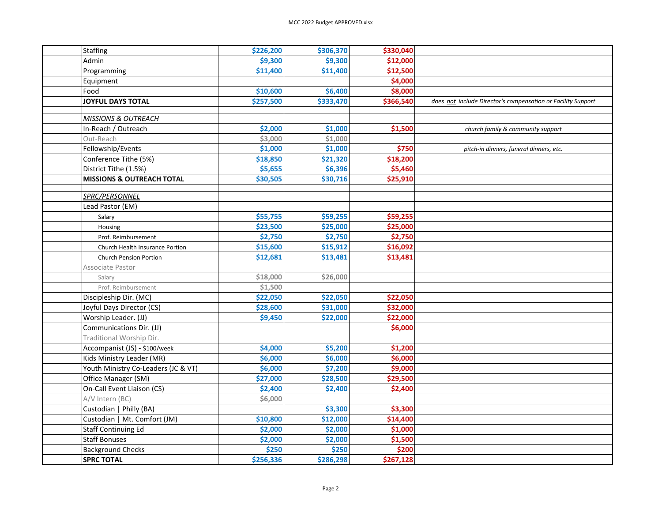| <b>Staffing</b>                |                                      | \$226,200 | \$306,370 | \$330,040 |                                                              |
|--------------------------------|--------------------------------------|-----------|-----------|-----------|--------------------------------------------------------------|
| Admin                          |                                      | \$9,300   | \$9,300   | \$12,000  |                                                              |
| Programming                    |                                      | \$11,400  | \$11,400  | \$12,500  |                                                              |
| Equipment                      |                                      |           |           | \$4,000   |                                                              |
| Food                           |                                      | \$10,600  | \$6,400   | \$8,000   |                                                              |
| <b>JOYFUL DAYS TOTAL</b>       |                                      | \$257,500 | \$333,470 | \$366,540 | does not include Director's compensation or Facility Support |
|                                |                                      |           |           |           |                                                              |
| <b>MISSIONS &amp; OUTREACH</b> |                                      |           |           |           |                                                              |
| In-Reach / Outreach            |                                      | \$2,000   | \$1,000   | \$1,500   | church family & community support                            |
| Out-Reach                      |                                      | \$3,000   | \$1,000   |           |                                                              |
| Fellowship/Events              |                                      | \$1,000   | \$1,000   | \$750     | pitch-in dinners, funeral dinners, etc.                      |
| Conference Tithe (5%)          |                                      | \$18,850  | \$21,320  | \$18,200  |                                                              |
| District Tithe (1.5%)          |                                      | \$5,655   | \$6,396   | \$5,460   |                                                              |
|                                | <b>MISSIONS &amp; OUTREACH TOTAL</b> | \$30,505  | \$30,716  | \$25,910  |                                                              |
| SPRC/PERSONNEL                 |                                      |           |           |           |                                                              |
| Lead Pastor (EM)               |                                      |           |           |           |                                                              |
| Salary                         |                                      | \$55,755  | \$59,255  | \$59,255  |                                                              |
| Housing                        |                                      | \$23,500  | \$25,000  | \$25,000  |                                                              |
| Prof. Reimbursement            |                                      | \$2,750   | \$2,750   | \$2,750   |                                                              |
|                                | Church Health Insurance Portion      | \$15,600  | \$15,912  | \$16,092  |                                                              |
| <b>Church Pension Portion</b>  |                                      | \$12,681  | \$13,481  | \$13,481  |                                                              |
| Associate Pastor               |                                      |           |           |           |                                                              |
| Salary                         |                                      | \$18,000  | \$26,000  |           |                                                              |
| Prof. Reimbursement            |                                      | \$1,500   |           |           |                                                              |
| Discipleship Dir. (MC)         |                                      | \$22,050  | \$22,050  | \$22,050  |                                                              |
| Joyful Days Director (CS)      |                                      | \$28,600  | \$31,000  | \$32,000  |                                                              |
| Worship Leader. (JJ)           |                                      | \$9,450   | \$22,000  | \$22,000  |                                                              |
| Communications Dir. (JJ)       |                                      |           |           | \$6,000   |                                                              |
| Traditional Worship Dir.       |                                      |           |           |           |                                                              |
| Accompanist (JS) - \$100/week  |                                      | \$4,000   | \$5,200   | \$1,200   |                                                              |
| Kids Ministry Leader (MR)      |                                      | \$6,000   | \$6,000   | \$6,000   |                                                              |
|                                | Youth Ministry Co-Leaders (JC & VT)  | \$6,000   | \$7,200   | \$9,000   |                                                              |
| Office Manager (SM)            |                                      | \$27,000  | \$28,500  | \$29,500  |                                                              |
| On-Call Event Liaison (CS)     |                                      | \$2,400   | \$2,400   | \$2,400   |                                                              |
| A/V Intern (BC)                |                                      | \$6,000   |           |           |                                                              |
| Custodian   Philly (BA)        |                                      |           | \$3,300   | \$3,300   |                                                              |
|                                | Custodian   Mt. Comfort (JM)         | \$10,800  | \$12,000  | \$14,400  |                                                              |
| <b>Staff Continuing Ed</b>     |                                      | \$2,000   | \$2,000   | \$1,000   |                                                              |
| <b>Staff Bonuses</b>           |                                      | \$2,000   | \$2,000   | \$1,500   |                                                              |
| <b>Background Checks</b>       |                                      | \$250     | \$250     | \$200     |                                                              |
| <b>SPRC TOTAL</b>              |                                      | \$256,336 | \$286,298 | \$267,128 |                                                              |